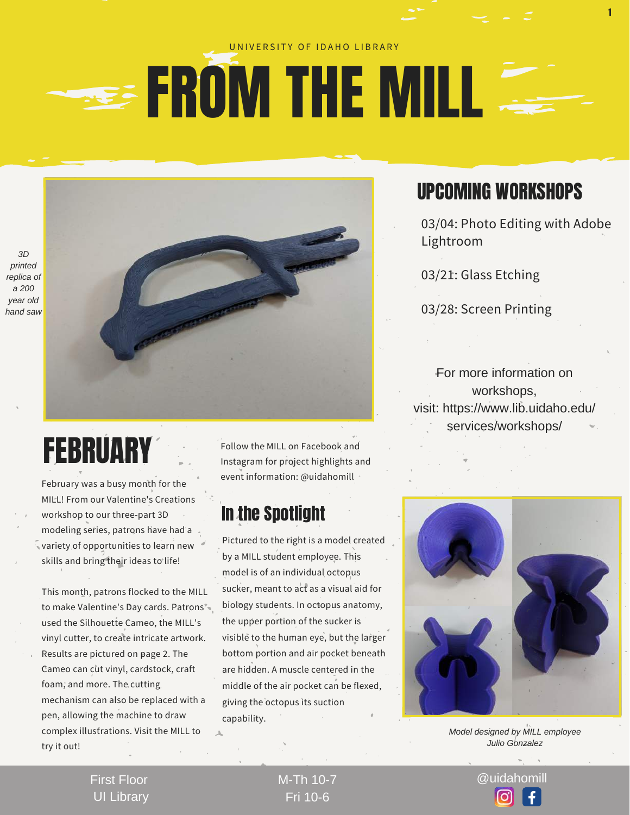#### UNIVERSITY OF IDAHO LIBRARY

# **EROM THE MILL**

## **FEBRUARY**

February was a busy month for the MILL! From our Valentine's Creations workshop to our three-part 3D modeling series, patrons have had a variety of opportunities to learn new skills and bring their ideas to life!

This month, patrons flocked to the MILL to make Valentine's Day cards. Patrons used the Silhouette Cameo, the MILL's vinyl cutter, to create intricate artwork. Results are pictured on page 2. The Cameo can cut vinyl, cardstock, craft foam, and more. The cutting mechanism can also be replaced with a pen, allowing the machine to draw complex illustrations. Visit the MILL to try it out!

Follow the MILL on Facebook and Instagram for project highlights and event information: @uidahomill

#### In the Spotlight

Pictured to the right is a model created by a MILL student employee. This model is of an individual octopus sucker, meant to act as a visual aid for biology students. In octopus anatomy, the upper portion of the sucker is visible to the human eye, but the larger bottom portion and air pocket beneath are hidden. A muscle centered in the middle of the air pocket can be flexed, giving the octopus its suction capability.

Fri 10-6

### UPCOMING WORKSHOPS

03/04: Photo Editing with Adobe Lightroom

1

03/21: Glass Etching

03/28: Screen Printing

For more information on workshops, visit: [https://www.lib.uidaho.edu/](https://www.lib.uidaho.edu/services/workshops/) services/workshops/



*Model designed by MILL employee Julio Gonzalez*

M-Th 10-7 @uidahomill

First Floor UI Library